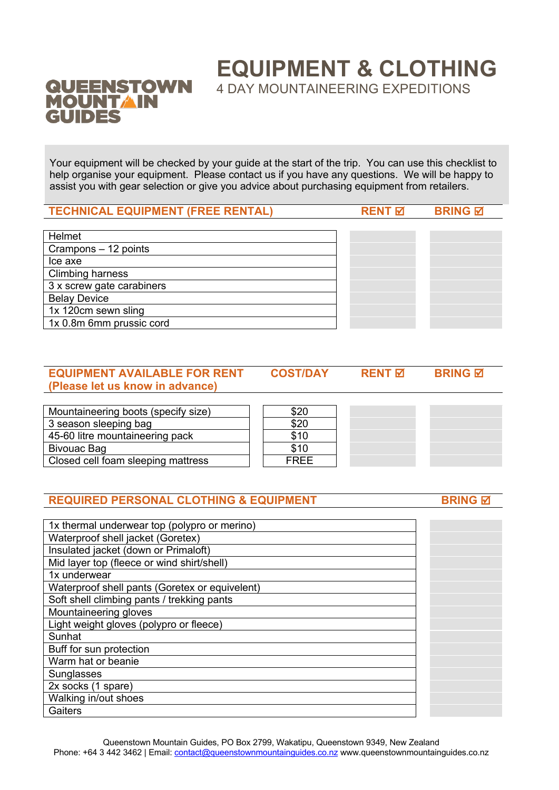# **QUEENSTOWN MOUNTAIN** GUIDES

**EQUIPMENT & CLOTHING**

4 DAY MOUNTAINEERING EXPEDITIONS

Your equipment will be checked by your guide at the start of the trip. You can use this checklist to help organise your equipment. Please contact us if you have any questions. We will be happy to assist you with gear selection or give you advice about purchasing equipment from retailers.

**TECHNICAL EQUIPMENT (FREE RENTAL) RENT** þ **BRING** þ

| Helmet                    |  |
|---------------------------|--|
| Crampons - 12 points      |  |
| Ice axe                   |  |
| <b>Climbing harness</b>   |  |
| 3 x screw gate carabiners |  |
| <b>Belay Device</b>       |  |
| 1x 120cm sewn sling       |  |
| 1x 0.8m 6mm prussic cord  |  |
|                           |  |

| <b>EQUIPMENT AVAILABLE FOR RENT</b> | <b>COST/DAY</b> | RENT <sub>M</sub> | <b>BRING</b> 团 |  |
|-------------------------------------|-----------------|-------------------|----------------|--|
| (Please let us know in advance)     |                 |                   |                |  |

| Mountaineering boots (specify size) | \$20        |  |
|-------------------------------------|-------------|--|
| 3 season sleeping bag               | \$20        |  |
| 45-60 litre mountaineering pack     | \$10        |  |
| Bivouac Bag                         | \$10        |  |
| Closed cell foam sleeping mattress  | <b>FREE</b> |  |

## **REQUIRED PERSONAL CLOTHING & EQUIPMENT BRING & BRING BRING**

| 1x thermal underwear top (polypro or merino)   |  |
|------------------------------------------------|--|
| Waterproof shell jacket (Goretex)              |  |
| Insulated jacket (down or Primaloft)           |  |
| Mid layer top (fleece or wind shirt/shell)     |  |
| 1x underwear                                   |  |
| Waterproof shell pants (Goretex or equivelent) |  |
| Soft shell climbing pants / trekking pants     |  |
| Mountaineering gloves                          |  |
| Light weight gloves (polypro or fleece)        |  |
| Sunhat                                         |  |
| Buff for sun protection                        |  |
| Warm hat or beanie                             |  |
| Sunglasses                                     |  |
| 2x socks (1 spare)                             |  |
| Walking in/out shoes                           |  |
| Gaiters                                        |  |